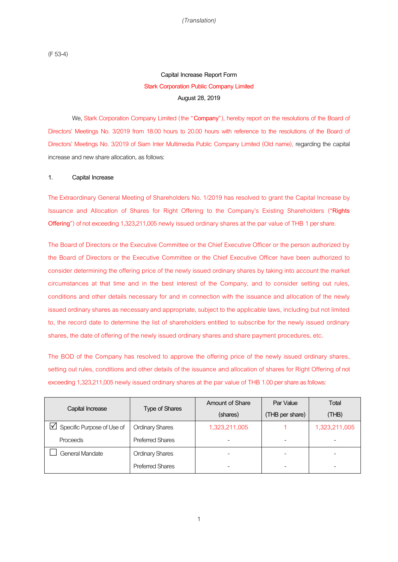(F 53-4)

## **Capital Increase Report Form Stark Corporation Public Company Limited August 28, 2019**

We, Stark Corporation Company Limited (the "**Company**"), hereby report on the resolutions of the Board of Directors' Meetings No. 3/2019 from 18.00 hours to 20.00 hours with reference to the resolutions of the Board of Directors' Meetings No. 3/2019 of Siam Inter Multimedia Public Company Limited (Old name), regarding the capital increase and new share allocation, as follows:

#### **1. Capital Increase**

The Extraordinary General Meeting of Shareholders No. 1/2019 has resolved to grant the Capital Increase by Issuance and Allocation of Shares for Right Offering to the Company's Existing Shareholders ("**Rights Offering**") of not exceeding 1,323,211,005 newly issued ordinary shares at the par value of THB 1 per share.

The Board of Directors or the Executive Committee or the Chief Executive Officer or the person authorized by the Board of Directors or the Executive Committee or the Chief Executive Officer have been authorized to consider determining the offering price of the newly issued ordinary shares by taking into account the market circumstances at that time and in the best interest of the Company, and to consider setting out rules, conditions and other details necessary for and in connection with the issuance and allocation of the newly issued ordinary shares as necessary and appropriate, subject to the applicable laws, including but not limited to, the record date to determine the list of shareholders entitled to subscribe for the newly issued ordinary shares, the date of offering of the newly issued ordinary shares and share payment procedures, etc.

The BOD of the Company has resolved to approve the offering price of the newly issued ordinary shares, setting out rules, conditions and other details of the issuance and allocation of shares for Right Offering of not exceeding 1,323,211,005 newly issued ordinary shares at the par value of THB 1.00 per share as follows:

|                                         | <b>Type of Shares</b>   | <b>Amount of Share</b> | Par Value       | Total         |
|-----------------------------------------|-------------------------|------------------------|-----------------|---------------|
| Capital Increase                        |                         | (shares)               | (THB per share) | (THE)         |
| $ \surd $<br>Specific Purpose of Use of | <b>Ordinary Shares</b>  | 1,323,211,005          |                 | 1,323,211,005 |
| Proceeds                                | <b>Preferred Shares</b> |                        |                 |               |
| General Mandate                         | <b>Ordinary Shares</b>  |                        |                 |               |
|                                         | <b>Preferred Shares</b> |                        |                 |               |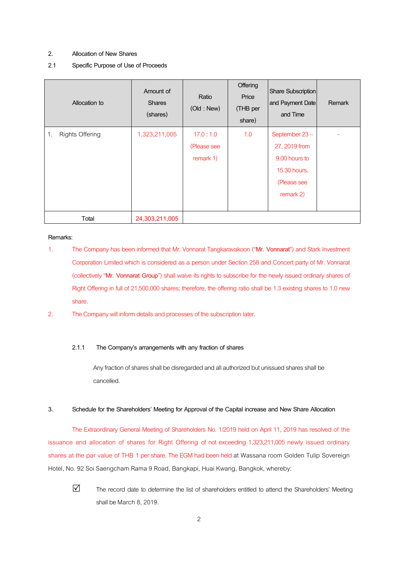#### **2. Allocation of New Shares**

#### **2.1 Specific Purpose of Use of Proceeds**

| Allocation to                | Amount of<br><b>Shares</b><br>(shares) | Ratio<br>(Old : New)                 | Offering<br>Price<br>(THB per<br>share) | Share Subscription<br>and Payment Date<br>and Time                                          | <b>Remark</b> |
|------------------------------|----------------------------------------|--------------------------------------|-----------------------------------------|---------------------------------------------------------------------------------------------|---------------|
| <b>Rights Offering</b><br>1. | 1,323,211,005                          | 17.0:1.0<br>(Please see<br>remark 1) | 1.0                                     | September 23-<br>27, 2019 from<br>9.00 hours to<br>15.30 hours.<br>(Please see<br>remark 2) |               |
| Total                        | 24,303,211,005                         |                                      |                                         |                                                                                             |               |

#### **Remarks:**

- 1. The Company has been informed that Mr. Vonnarat Tangkaravakoon ("**Mr. Vonnarat**") and Stark Investment Corporation Limited which is considered as a person under Section 258 and Concert party of Mr. Vonnarat (collectively "**Mr. Vonnarat Group**") shall waive its rights to subscribe for the newly issued ordinary shares of Right Offering in full of 21,500,000 shares; therefore, the offering ratio shall be 1.3 existing shares to 1.0 new share.
- 2. The Company will inform details and processes of the subscription later.

#### **2.1.1 The Company's arrangements with any fraction of shares**

Any fraction of shares shall be disregarded and all authorized but unissued shares shall be cancelled.

#### **3. Schedule for the Shareholders' Meeting for Approval of the Capital increase and New Share Allocation**

The Extraordinary General Meeting of Shareholders No. 1/2019 held on April 11, 2019 has resolved of the issuance and allocation of shares for Right Offering of not exceeding 1,323,211,005 newly issued ordinary shares at the par value of THB 1 per share. The EGM had been held at Wassana room Golden Tulip Sovereign Hotel, No. 92 Soi Saengcham Rama 9 Road, Bangkapi, Huai Kwang, Bangkok, whereby:



 $\triangledown$  The record date to determine the list of shareholders entitled to attend the Shareholders' Meeting shall be March 8, 2019.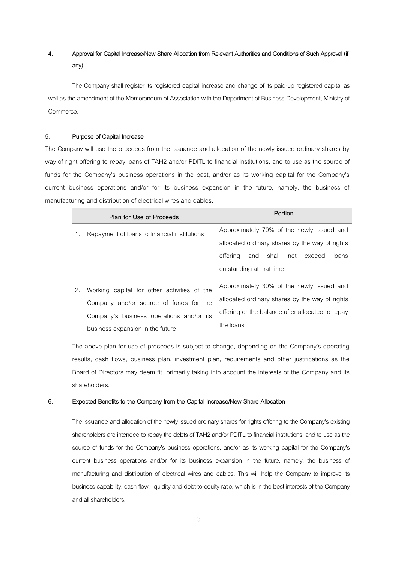### **4. Approval for Capital Increase/New Share Allocation from Relevant Authorities and Conditions of Such Approval (if any)**

The Company shall register its registered capital increase and change of its paid-up registered capital as well as the amendment of the Memorandum of Association with the Department of Business Development, Ministry of Commerce.

#### **5. Purpose of Capital Increase**

The Company will use the proceeds from the issuance and allocation of the newly issued ordinary shares by way of right offering to repay loans of TAH2 and/or PDITL to financial institutions, and to use as the source of funds for the Company's business operations in the past, and/or as its working capital for the Company's current business operations and/or for its business expansion in the future, namely, the business of manufacturing and distribution of electrical wires and cables.

|    | Plan for Use of Proceeds                                                                                                                                              | Portion                                                                                                                                                                 |
|----|-----------------------------------------------------------------------------------------------------------------------------------------------------------------------|-------------------------------------------------------------------------------------------------------------------------------------------------------------------------|
| 1. | Repayment of loans to financial institutions                                                                                                                          | Approximately 70% of the newly issued and<br>allocated ordinary shares by the way of rights<br>and shall<br>offering<br>not exceed<br>loans<br>outstanding at that time |
| 2. | Working capital for other activities of the<br>Company and/or source of funds for the<br>Company's business operations and/or its<br>business expansion in the future | Approximately 30% of the newly issued and<br>allocated ordinary shares by the way of rights<br>offering or the balance after allocated to repay<br>the loans            |

The above plan for use of proceeds is subject to change, depending on the Company's operating results, cash flows, business plan, investment plan, requirements and other justifications as the Board of Directors may deem fit, primarily taking into account the interests of the Company and its shareholders.

#### **6. Expected Benefits to the Company from the Capital Increase/New Share Allocation**

The issuance and allocation of the newly issued ordinary shares for rights offering to the Company's existing shareholders are intended to repay the debts of TAH2 and/or PDITL to financial institutions, and to use as the source of funds for the Company's business operations, and/or as its working capital for the Company's current business operations and/or for its business expansion in the future, namely, the business of manufacturing and distribution of electrical wires and cables. This will help the Company to improve its business capability, cash flow, liquidity and debt-to-equity ratio, which is in the best interests of the Company and all shareholders.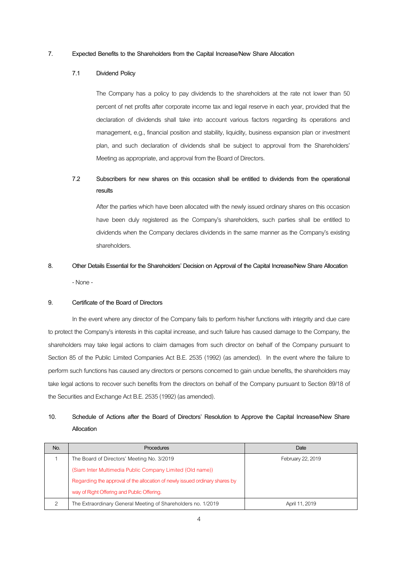#### **7. Expected Benefits to the Shareholders from the Capital Increase/New Share Allocation**

#### **7.1 Dividend Policy**

The Company has a policy to pay dividends to the shareholders at the rate not lower than 50 percent of net profits after corporate income tax and legal reserve in each year, provided that the declaration of dividends shall take into account various factors regarding its operations and management, e.g., financial position and stability, liquidity, business expansion plan or investment plan, and such declaration of dividends shall be subject to approval from the Shareholders' Meeting as appropriate, and approval from the Board of Directors.

## **7.2 Subscribers for new shares on this occasion shall be entitled to dividends from the operational results**

After the parties which have been allocated with the newly issued ordinary shares on this occasion have been duly registered as the Company's shareholders, such parties shall be entitled to dividends when the Company declares dividends in the same manner as the Company's existing shareholders.

# **8. Other Details Essential for the Shareholders' Decision on Approval of the Capital Increase/New Share Allocation** - None-

#### **9. Certificate of the Board of Directors**

In the event where any director of the Company fails to perform his/her functions with integrity and due care to protect the Company's interests in this capital increase, and such failure has caused damage to the Company, the shareholders may take legal actions to claim damages from such director on behalf of the Company pursuant to Section 85 of the Public Limited Companies Act B.E. 2535 (1992) (as amended). In the event where the failure to perform such functions has caused any directors or persons concerned to gain undue benefits, the shareholders may take legal actions to recover such benefits from the directors on behalf of the Company pursuant to Section 89/18 of the Securities and Exchange Act B.E. 2535 (1992) (as amended).

### **10. Schedule of Actions after the Board of Directors' Resolution to Approve the Capital Increase/New Share Allocation**

| No. | <b>Procedures</b>                                                           | Date              |
|-----|-----------------------------------------------------------------------------|-------------------|
|     | The Board of Directors' Meeting No. 3/2019                                  | February 22, 2019 |
|     | (Siam Inter Multimedia Public Company Limited (Old name))                   |                   |
|     | Regarding the approval of the allocation of newly issued ordinary shares by |                   |
|     | way of Right Offering and Public Offering.                                  |                   |
| 2   | The Extraordinary General Meeting of Shareholders no. 1/2019                | April 11, 2019    |